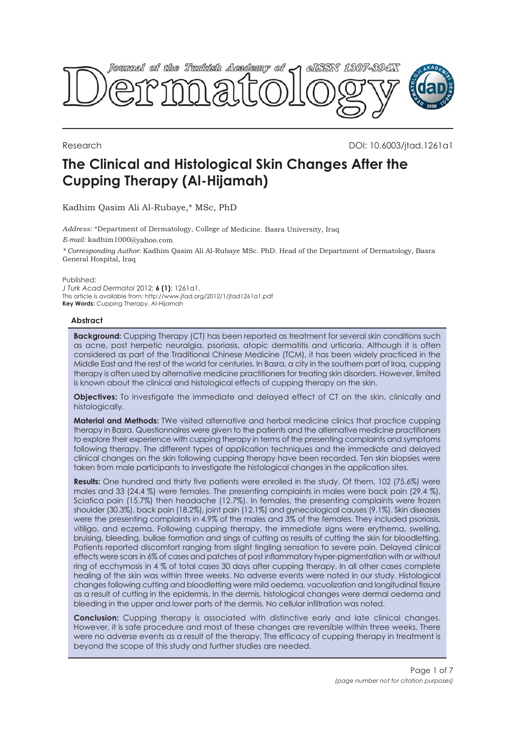

Research DOI: 10.6003/jtad.1261a1

# **The Clinical and Histological Skin Changes After the Cupping Therapy (Al-Hijamah)**

Kadhim Qasim Ali Al-Rubaye,\* MSc, PhD

*Address:* \*Department of Dermatology, College of Medicine. Basra University, Iraq *E-mail:* kadhim1000@yahoo.com *\* Corresponding Author:* Kadhim Qasim Ali Al-Rubaye MSc. PhD. Head of the Department of Dermatology, Basra General Hospital, Iraq

Published:

*J Turk Acad Dermatol* 2012; **6 (1)**: 1261a1. This article is available from: http://www.jtad.org/2012/1/jtad1261a1.pdf **Key Words:** Cupping Therapy, Al-Hijamah

## **Abstract**

**Background:** Cupping Therapy (CT) has been reported as treatment for several skin conditions such as acne, post herpetic neuralgia, psoriasis, atopic dermatitis and urticaria. Although it is often considered as part of the Traditional Chinese Medicine (TCM), it has been widely practiced in the Middle East and the rest of the world for centuries. In Basra, a city in the southern part of Iraq, cupping therapy is often used by alternative medicine practitioners for treating skin disorders. However, limited is known about the clinical and histological effects of cupping therapy on the skin.

**Objectives:** To investigate the immediate and delayed effect of CT on the skin, clinically and histologically.

**Material and Methods:** TWe visited alternative and herbal medicine clinics that practice cupping therapy in Basra. Questionnaires were given to the patients and the alternative medicine practitioners to explore their experience with cupping therapy in terms of the presenting complaints and symptoms following therapy. The different types of application techniques and the immediate and delayed clinical changes on the skin following cupping therapy have been recorded. Ten skin biopsies were taken from male participants to investigate the histological changes in the application sites.

**Results:** One hundred and thirty five patients were enrolled in the study. Of them, 102 (75.6%) were males and 33 (24.4 %) were females. The presenting complaints in males were back pain (29.4 %), Sciatica pain (15.7%) then headache (12.7%). In females, the presenting complaints were frozen shoulder (30.3%), back pain (18.2%), joint pain (12.1%) and gynecological causes (9.1%). Skin diseases were the presenting complaints in 4.9% of the males and 3% of the females. They included psoriasis, vitiligo, and eczema. Following cupping therapy, the immediate signs were erythema, swelling, bruising, bleeding, bullae formation and sings of cutting as results of cutting the skin for bloodletting. Patients reported discomfort ranging from slight tingling sensation to severe pain. Delayed clinical effects were scars in 6% of cases and patches of post inflammatory hyper-pigmentation with or without ring of ecchymosis in 4 % of total cases 30 days after cupping therapy. In all other cases complete healing of the skin was within three weeks. No adverse events were noted in our study. Histological changes following cutting and bloodletting were mild oedema, vacuolization and longitudinal fissure as a result of cutting in the epidermis. In the dermis, histological changes were dermal oedema and bleeding in the upper and lower parts of the dermis. No cellular infiltration was noted.

**Conclusion:** Cupping therapy is associated with distinctive early and late clinical changes. However, it is safe procedure and most of these changes are reversible within three weeks. There were no adverse events as a result of the therapy. The efficacy of cupping therapy in treatment is beyond the scope of this study and further studies are needed.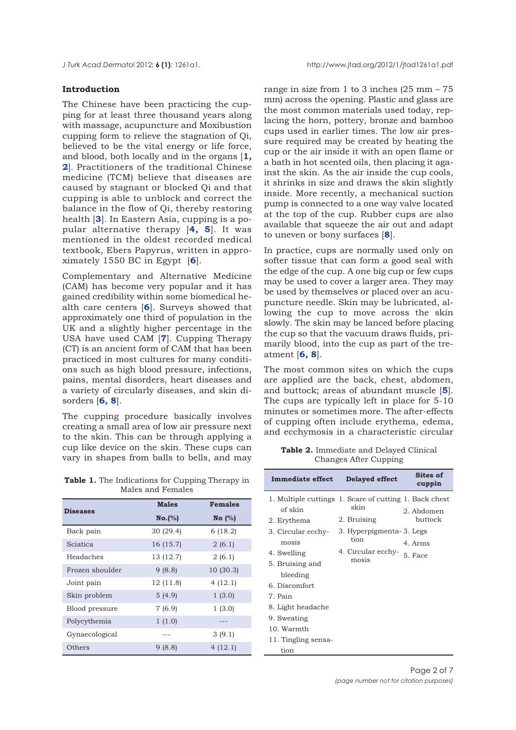<span id="page-1-0"></span>

## **Introduction**

The Chinese have been practicing the cupping for at least three thousand years along with massage, acupuncture and Moxibustion cupping form to relieve the stagnation of Qi, believed to be the vital energy or life force, and blood, both locally and in the organs [**[1,](#page-5-0) [2](#page-5-0)**]. Practitioners of the traditional Chinese medicine (TCM) believe that diseases are caused by stagnant or blocked Qi and that cupping is able to unblock and correct the balance in the flow of Qi, thereby restoring health [**[3](#page-5-0)**]. In Eastern Asia, cupping is a popular alternative therapy [**[4,](#page-5-0) [5](#page-5-0)**]. It was mentioned in the oldest recorded medical textbook, Ebers Papyrus, written in approximately 1550 BC in Egypt [**[6](#page-5-0)**].

Complementary and Alternative Medicine (CAM) has become very popular and it has gained credibility within some biomedical health care centers [**[6](#page-5-0)**]. Surveys showed that approximately one third of population in the UK and a slightly higher percentage in the USA have used CAM [**[7](#page-5-0)**]. Cupping Therapy (CT) is an ancient form of CAM that has been practiced in most cultures for many conditions such as high blood pressure, infections, pains, mental disorders, heart diseases and a variety of circularly diseases, and skin disorders [**[6,](#page-5-0) 8**].

The cupping procedure basically involves creating a small area of low air pressure next to the skin. This can be through applying a cup like device on the skin. These cups can vary in shapes from balls to bells, and may

range in size from 1 to 3 inches  $(25 \text{ mm} - 75)$ mm) across the opening. Plastic and glass are the most common materials used today, replacing the horn, pottery, bronze and bamboo cups used in earlier times. The low air pressure required may be created by heating the cup or the air inside it with an open flame or a bath in hot scented oils, then placing it against the skin. As the air inside the cup cools, it shrinks in size and draws the skin slightly inside. More recently, a mechanical suction pump is connected to a one way valve located at the top of the cup. Rubber cups are also available that squeeze the air out and adapt to uneven or bony surfaces [**[8](#page-5-0)**].

In practice, cups are normally used only on softer tissue that can form a good seal with the edge of the cup. A one big cup or few cups may be used to cover a larger area. They may be used by themselves or placed over an acupuncture needle. Skin may be lubricated, allowing the cup to move across the skin slowly. The skin may be lanced before placing the cup so that the vacuum draws fluids, primarily blood, into the cup as part of the treatment [**[6, 8](#page-5-0)**].

The most common sites on which the cups are applied are the back, chest, abdomen, and buttock; areas of abundant muscle [**[5](#page-5-0)**]. The cups are typically left in place for 5-10 minutes or sometimes more. The after-effects of cupping often include erythema, edema, and ecchymosis in a characteristic circular

**[Table 2.](#page-3-0)** Immediate and Delayed Clinical Changes After Cupping

| <b>Table 1.</b> The Indications for Cupping Therapy in<br>Males and Females |              |                |  |
|-----------------------------------------------------------------------------|--------------|----------------|--|
| <b>Diseases</b>                                                             | <b>Males</b> | <b>Females</b> |  |
|                                                                             | No.(%)       | No $(\%)$      |  |
| Back pain                                                                   | 30(29.4)     | 6 (18.2)       |  |
| Sciatica                                                                    | 16 (15.7)    | 2(6.1)         |  |
| Headaches                                                                   | 13 (12.7)    | 2(6.1)         |  |
| Frozen shoulder                                                             | 9(8.8)       | 10(30.3)       |  |
| Joint pain                                                                  | 12 (11.8)    | 4(12.1)        |  |
| Skin problem                                                                | 5(4.9)       | 1(3.0)         |  |
| Blood pressure                                                              | 7(6.9)       | 1(3.0)         |  |
| Polycythemia                                                                | 1(1.0)       |                |  |
| Gynaecological                                                              |              | 3(9.1)         |  |
| Others                                                                      | 9(8.8)       | 4(12.1)        |  |

| <b>Immediate effect</b>                                | <b>Delayed effect</b>            | Sites of<br>cuppin    |
|--------------------------------------------------------|----------------------------------|-----------------------|
| 1. Multiple cuttings 1. Scare of cutting 1. Back chest | skin                             |                       |
| of skin                                                |                                  | 2. Abdomen<br>buttock |
| 2. Erythema                                            | 2. Bruising                      |                       |
| 3. Circular ecchy-                                     | 3. Hyperpigmenta-3. Legs<br>tion |                       |
| mosis                                                  |                                  | 4. Arms               |
| 4. Swelling                                            | 4. Circular ecchy-               | 5. Face               |
| 5. Bruising and                                        | mosis                            |                       |
| bleeding                                               |                                  |                       |
| 6. Discomfort                                          |                                  |                       |
| 7. Pain                                                |                                  |                       |
| 8. Light headache                                      |                                  |                       |
| 9. Sweating                                            |                                  |                       |
| 10. Warmth                                             |                                  |                       |
| 11. Tingling sensa-                                    |                                  |                       |
| tion                                                   |                                  |                       |
|                                                        |                                  |                       |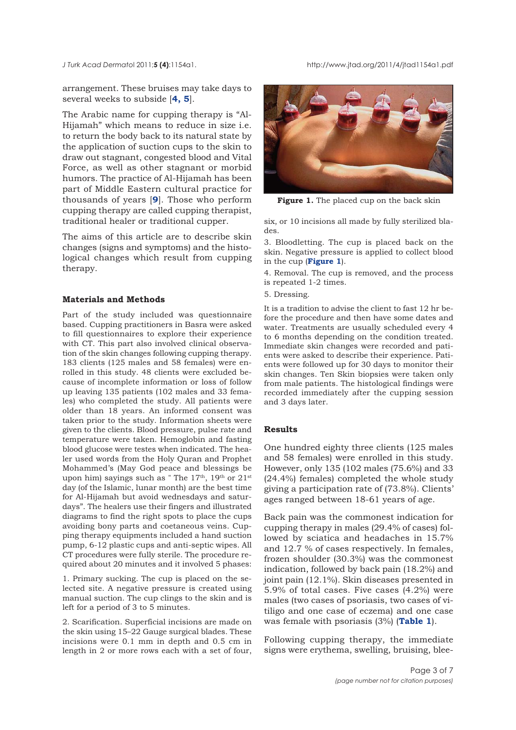<span id="page-2-0"></span>*J Turk Acad Dermato*l 2011;**5 (4)**:1154a1. http://www.jtad.org/2011/4/jtad1154a1.pdf

arrangement. These bruises may take days to several weeks to subside [**[4, 5](#page-5-0)**].

The Arabic name for cupping therapy is "Al-Hijamah" which means to reduce in size i.e. to return the body back to its natural state by the application of suction cups to the skin to draw out stagnant, congested blood and Vital Force, as well as other stagnant or morbid humors. The practice of Al-Hijamah has been part of Middle Eastern cultural practice for thousands of years [**[9](#page-5-0)**]. Those who perform cupping therapy are called cupping therapist, traditional healer or traditional cupper.

The aims of this article are to describe skin changes (signs and symptoms) and the histological changes which result from cupping therapy.

### **Materials and Methods**

Part of the study included was questionnaire based. Cupping practitioners in Basra were asked to fill questionnaires to explore their experience with CT. This part also involved clinical observation of the skin changes following cupping therapy. 183 clients (125 males and 58 females) were enrolled in this study. 48 clients were excluded because of incomplete information or loss of follow up leaving 135 patients (102 males and 33 females) who completed the study. All patients were older than 18 years. An informed consent was taken prior to the study. Information sheets were given to the clients. Blood pressure, pulse rate and temperature were taken. Hemoglobin and fasting blood glucose were testes when indicated. The healer used words from the Holy Quran and Prophet Mohammed's (May God peace and blessings be upon him) sayings such as " The  $17<sup>th</sup>$ ,  $19<sup>th</sup>$  or  $21<sup>st</sup>$ day (of the Islamic, lunar month) are the best time for Al-Hijamah but avoid wednesdays and saturdays". The healers use their fingers and illustrated diagrams to find the right spots to place the cups avoiding bony parts and coetaneous veins. Cupping therapy equipments included a hand suction pump, 6-12 plastic cups and anti-septic wipes. All CT procedures were fully sterile. The procedure required about 20 minutes and it involved 5 phases:

1. Primary sucking. The cup is placed on the selected site. A negative pressure is created using manual suction. The cup clings to the skin and is left for a period of 3 to 5 minutes.

2. Scarification. Superficial incisions are made on the skin using 15–22 Gauge surgical blades. These incisions were 0.1 mm in depth and 0.5 cm in length in 2 or more rows each with a set of four,



Figure 1. The placed cup on the back skin

six, or 10 incisions all made by fully sterilized blades.

3. Bloodletting. The cup is placed back on the skin. Negative pressure is applied to collect blood in the cup (**Figure 1**).

4. Removal. The cup is removed, and the process is repeated 1-2 times.

5. Dressing.

It is a tradition to advise the client to fast 12 hr before the procedure and then have some dates and water. Treatments are usually scheduled every 4 to 6 months depending on the condition treated. Immediate skin changes were recorded and patients were asked to describe their experience. Patients were followed up for 30 days to monitor their skin changes. Ten Skin biopsies were taken only from male patients. The histological findings were recorded immediately after the cupping session and 3 days later.

## **Results**

One hundred eighty three clients (125 males and 58 females) were enrolled in this study. However, only 135 (102 males (75.6%) and 33 (24.4%) females) completed the whole study giving a participation rate of (73.8%). Clients' ages ranged between 18-61 years of age.

Back pain was the commonest indication for cupping therapy in males (29.4% of cases) followed by sciatica and headaches in 15.7% and 12.7 % of cases respectively. In females, frozen shoulder (30.3%) was the commonest indication, followed by back pain (18.2%) and joint pain (12.1%). Skin diseases presented in 5.9% of total cases. Five cases (4.2%) were males (two cases of psoriasis, two cases of vitiligo and one case of eczema) and one case was female with psoriasis (3%) (**[Table 1](#page-1-0)**).

Following cupping therapy, the immediate signs were erythema, swelling, bruising, blee-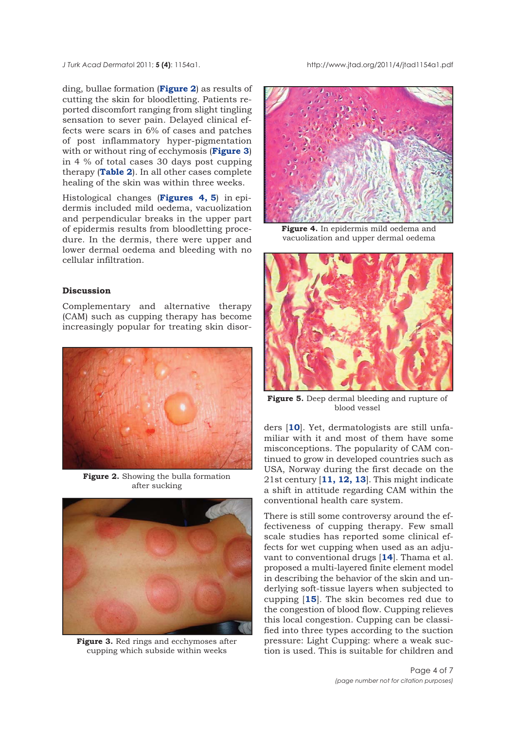<span id="page-3-0"></span>*J Turk Acad Dermato*l 2011; **5 (4)**: 1154a1. http://www.jtad.org/2011/4/jtad1154a1.pdf

ding, bullae formation (**Figure 2**) as results of cutting the skin for bloodletting. Patients reported discomfort ranging from slight tingling sensation to sever pain. Delayed clinical effects were scars in 6% of cases and patches of post inflammatory hyper-pigmentation with or without ring of ecchymosis (**Figure 3**) in 4 % of total cases 30 days post cupping therapy (**[Table 2](#page-1-0)**). In all other cases complete healing of the skin was within three weeks.

Histological changes (**Figures 4, 5**) in epidermis included mild oedema, vacuolization and perpendicular breaks in the upper part of epidermis results from bloodletting procedure. In the dermis, there were upper and lower dermal oedema and bleeding with no cellular infiltration.

## **Discussion**

Complementary and alternative therapy (CAM) such as cupping therapy has become increasingly popular for treating skin disor-



**Figure 2.** Showing the bulla formation after sucking



**Figure 3.** Red rings and ecchymoses after cupping which subside within weeks



**Figure 4.** In epidermis mild oedema and vacuolization and upper dermal oedema



**Figure 5.** Deep dermal bleeding and rupture of blood vessel

ders [**[10](#page-5-0)**]. Yet, dermatologists are still unfamiliar with it and most of them have some misconceptions. The popularity of CAM continued to grow in developed countries such as USA, Norway during the first decade on the 21st century [**[11, 12, 13](#page-5-0)**]. This might indicate a shift in attitude regarding CAM within the conventional health care system.

There is still some controversy around the effectiveness of cupping therapy. Few small scale studies has reported some clinical effects for wet cupping when used as an adjuvant to conventional drugs [**[14](#page-5-0)**]. Thama et al. proposed a multi-layered finite element model in describing the behavior of the skin and underlying soft-tissue layers when subjected to cupping [**[15](#page-5-0)**]. The skin becomes red due to the congestion of blood flow. Cupping relieves this local congestion. Cupping can be classified into three types according to the suction pressure: Light Cupping: where a weak suction is used. This is suitable for children and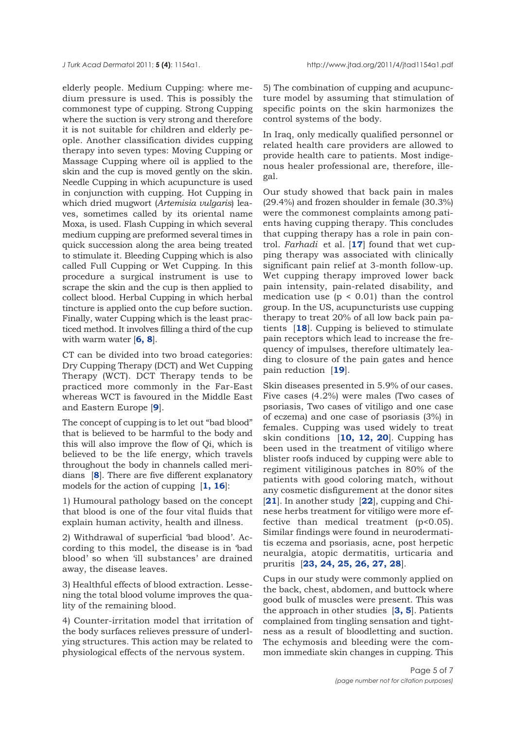<span id="page-4-0"></span>elderly people. Medium Cupping: where medium pressure is used. This is possibly the commonest type of cupping. Strong Cupping where the suction is very strong and therefore it is not suitable for children and elderly people. Another classification divides cupping therapy into seven types: Moving Cupping or Massage Cupping where oil is applied to the skin and the cup is moved gently on the skin. Needle Cupping in which acupuncture is used in conjunction with cupping. Hot Cupping in which dried mugwort (*Artemisia vulgaris*) leaves, sometimes called by its oriental name Moxa, is used. Flash Cupping in which several medium cupping are preformed several times in quick succession along the area being treated to stimulate it. Bleeding Cupping which is also called Full Cupping or Wet Cupping. In this procedure a surgical instrument is use to scrape the skin and the cup is then applied to collect blood. Herbal Cupping in which herbal tincture is applied onto the cup before suction. Finally, water Cupping which is the least practiced method. It involves filling a third of the cup with warm water [**[6, 8](#page-5-0)**].

CT can be divided into two broad categories: Dry Cupping Therapy (DCT) and Wet Cupping Therapy (WCT). DCT Therapy tends to be practiced more commonly in the Far-East whereas WCT is favoured in the Middle East and Eastern Europe [**[9](#page-5-0)**].

The concept of cupping is to let out "bad blood" that is believed to be harmful to the body and this will also improve the flow of Qi, which is believed to be the life energy, which travels throughout the body in channels called meridians [**[8](#page-5-0)**]. There are five different explanatory models for the action of cupping [**[1, 16](#page-5-0)**]:

1) Humoural pathology based on the concept that blood is one of the four vital fluids that explain human activity, health and illness.

2) Withdrawal of superficial 'bad blood'. According to this model, the disease is in 'bad blood' so when 'ill substances' are drained away, the disease leaves.

3) Healthful effects of blood extraction. Lessening the total blood volume improves the quality of the remaining blood.

4) Counter-irritation model that irritation of the body surfaces relieves pressure of underlying structures. This action may be related to physiological effects of the nervous system.

5) The combination of cupping and acupuncture model by assuming that stimulation of specific points on the skin harmonizes the control systems of the body.

In Iraq, only medically qualified personnel or related health care providers are allowed to provide health care to patients. Most indigenous healer professional are, therefore, illegal.

Our study showed that back pain in males (29.4%) and frozen shoulder in female (30.3%) were the commonest complaints among patients having cupping therapy. This concludes that cupping therapy has a role in pain control. *Farhadi* et al. [**[17](#page-5-0)**] found that wet cupping therapy was associated with clinically significant pain relief at 3-month follow-up. Wet cupping therapy improved lower back pain intensity, pain-related disability, and medication use  $(p < 0.01)$  than the control group. In the US, acupuncturists use cupping therapy to treat 20% of all low back pain patients [**[18](#page-5-0)**]. Cupping is believed to stimulate pain receptors which lead to increase the frequency of impulses, therefore ultimately leading to closure of the pain gates and hence pain reduction [**[19](#page-5-0)**].

Skin diseases presented in 5.9% of our cases. Five cases (4.2%) were males (Two cases of psoriasis, Two cases of vitiligo and one case of eczema) and one case of psoriasis (3%) in females. Cupping was used widely to treat skin conditions [**[10,](#page-5-0) [12,](#page-5-0) [20](#page-6-0)**]. Cupping has been used in the treatment of vitiligo where blister roofs induced by cupping were able to regiment vitiliginous patches in 80% of the patients with good coloring match, without any cosmetic disfigurement at the donor sites [**[21](#page-6-0)**]. In another study [**[22](#page-6-0)**], cupping and Chinese herbs treatment for vitiligo were more effective than medical treatment (p<0.05). Similar findings were found in neurodermatitis eczema and psoriasis, acne, post herpetic neuralgia, atopic dermatitis, urticaria and pruritis [**[23, 24, 25, 26, 27, 28](#page-6-0)**].

Cups in our study were commonly applied on the back, chest, abdomen, and buttock where good bulk of muscles were present. This was the approach in other studies [**[3, 5](#page-5-0)**]. Patients complained from tingling sensation and tightness as a result of bloodletting and suction. The echymosis and bleeding were the common immediate skin changes in cupping. This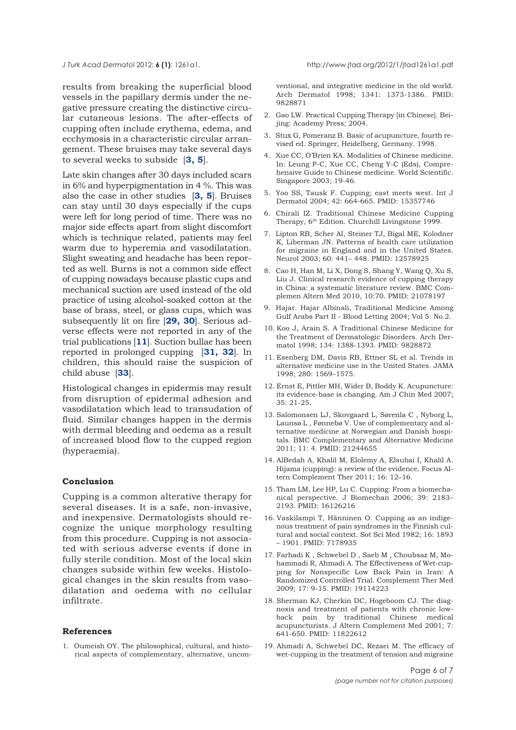<span id="page-5-0"></span>*J Turk Acad Dermato*l 2012; **6 (1)**: 1261a1. http://www.jtad.org/2012/1/jtad1261a1.pdf

results from breaking the superficial blood vessels in the papillary dermis under the negative pressure creating the distinctive circular cutaneous lesions. The after-effects of cupping often include erythema, edema, and ecchymosis in a characteristic circular arrangement. These bruises may take several days to several weeks to subside [**3, 5**].

Late skin changes after 30 days included scars in 6% and hyperpigmentation in 4 %. This was also the case in other studies [**3, 5**]. Bruises can stay until 30 days especially if the cups were left for long period of time. There was no major side effects apart from slight discomfort which is technique related, patients may feel warm due to hyperemia and vasodilatation. Slight sweating and headache has been reported as well. Burns is not a common side effect of cupping nowadays because plastic cups and mechanical suction are used instead of the old practice of using alcohol-soaked cotton at the base of brass, steel, or glass cups, which was subsequently lit on fire [**[29, 30](#page-6-0)**]. Serious adverse effects were not reported in any of the trial publications [**11**]. Suction bullae has been reported in prolonged cupping [**[31, 32](#page-6-0)**]. In children, this should raise the suspicion of child abuse [**[33](#page-6-0)**].

Histological changes in epidermis may result from disruption of epidermal adhesion and vasodilatation which lead to transudation of fluid. Similar changes happen in the dermis with dermal bleeding and oedema as a result of increased blood flow to the cupped region (hyperaemia).

### **Conclusion**

Cupping is a common alterative therapy for several diseases. It is a safe, non-invasive, and inexpensive. Dermatologists should recognize the unique morphology resulting from this procedure. Cupping is not associated with serious adverse events if done in fully sterile condition. Most of the local skin [changes subside within few weeks. Histolo](#page-1-0)gical changes in the skin results from vasodilatation and oedema with no cellular infiltrate.

#### **References**

[1.](#page-4-0) Oumeish OY. The philosophical, cultural, and historical aspects of complementary, alternative, unconventional, and integrative medicine in the old world. Arch Dermatol 1998; 1341: 1373-1386. PMID: 9828871

- 2. Gao LW. Practical Cupping Therapy [in Chinese]. Beijing: Academy Press; 2004.
- [3.](#page-4-0) Stux G, Pomeranz B. Basic of acupuncture, fourth revised ed. Springer, Heidelberg, Germany. 1998.
- 4. Xue CC, O'Brien KA. Modalities of Chinese medicine. In: Leung P-C, Xue CC, Cheng Y-C (Eds), Comprehensive Guide to Chinese medicine. World Scientific. Singapore 2003; 19-46.
- [5.](#page-4-0) Yoo SS, Tausk F. Cupping; east meets west. Int J Dermatol 2004; 42: 664-665. PMID: 15357746
- [6.](#page-4-0) Chirali IZ. Traditional Chinese Medicine Cupping Therapy, 6<sup>th</sup> Edition. Churchill Livingstone 1999.
- 7. Lipton RB, Scher AI, Steiner TJ, Bigal ME, Kolodner K, Liberman JN. Patterns of health care utilization for migraine in England and in the United States. Neurol 2003; 60: 441– 448. PMID: 12578925
- [8.](#page-4-0) Cao H, Han M, Li X, Dong S, Shang Y, Wang Q, Xu S, Liu J. Clinical research evidence of cupping therapy in China: a systematic literature review. BMC Complemen Altern Med 2010, 10:70. PMID: 21078197
- [9.](#page-4-0) Hajar. Hajar Albinali, Traditional Medicine Among Gulf Arabs Part II - Blood Letting 2004; Vol 5: No.2.
- [10.](#page-3-0) Koo J, Arain S. A Traditional Chinese Medicine for the Treatment of Dermatologic Disorders. Arch Dermatol 1998; 134: 1388-1393. PMID: 9828872
- [11.](#page-3-0) Esenberg DM, Davis RB, Ettner SL et al. Trends in alternative medicine use in the United States. JAMA 1998; 280: 1569–1575.
- [12.](#page-3-0) Ernst E, Pittler MH, Wider B, Boddy K. Acupuncture: its evidence-base is changing. Am J Chin Med 2007;  $35:21-25$
- [13.](#page-3-0) Salomonsen LJ, Skovgaard L, Sørenla C , Nyborg L, Launsø L , Fønnebø V. Use of complementary and alternative medicine at Norwegian and Danish hospitals. BMC Complementary and Alternative Medicine 2011; 11: 4. PMID: 21244655
- [14.](#page-3-0) AlBedah A, Khalil M, Elolemy A, Elsubai I, Khalil A. Hijama (cupping): a review of the evidence. Focus Altern Complement Ther 2011; 16: 12–16.
- [15.](#page-3-0) Tham LM, Lee HP, Lu C. Cupping: From a biomechanical perspective. J Biomechan 2006; 39: 2183– 2193. PMID: 16126216
- [16.](#page-4-0) Vaskilampi T, Hänninen O. Cupping as an indigenous treatment of pain syndromes in the Finnish cultural and social context. Sot Sci Med 1982; 16: 1893 – 1901. PMID: 7178935
- [17.](#page-4-0) Farhadi K , Schwebel D , Saeb M , Choubsaz M, Mohammadi R, Ahmadi A. The Effectiveness of Wet-cupping for Nonspecific Low Back Pain in Iran: A Randomized Controlled Trial. Complement Ther Med 2009; 17: 9-15. PMID: 19114223
- [18.](#page-4-0) Sherman KJ, Cherkin DC, Hogeboom CJ. The diagnosis and treatment of patients with chronic lowback pain by traditional Chinese medical acupuncturists. J Altern Complement Med 2001; 7: 641-650. PMID: 11822612
- [19.](#page-4-0) Ahmadi A, Schwebel DC, Rezaei M. The efficacy of wet-cupping in the treatment of tension and migraine